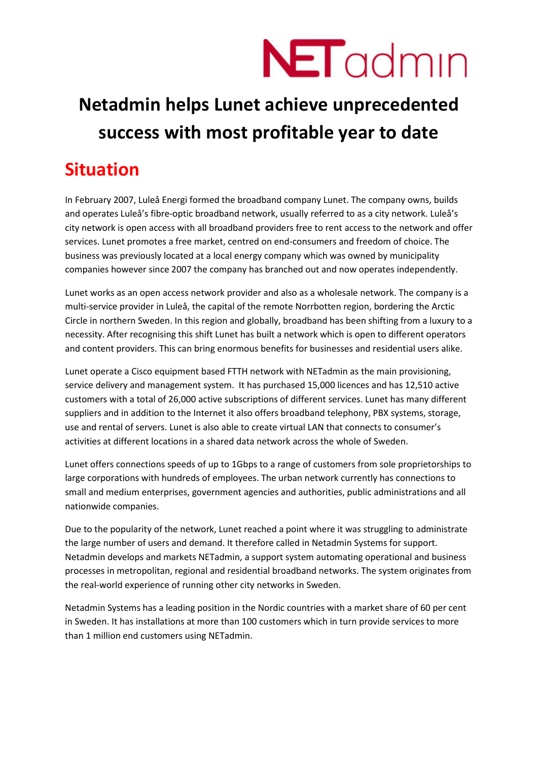

### **Netadmin helps Lunet achieve unprecedented success with most profitable year to date**

#### **Situation**

In February 2007, Luleå Energi formed the broadband company Lunet. The company owns, builds and operates Luleå's fibre-optic broadband network, usually referred to as a city network. Luleå's city network is open access with all broadband providers free to rent access to the network and offer services. Lunet promotes a free market, centred on end-consumers and freedom of choice. The business was previously located at a local energy company which was owned by municipality companies however since 2007 the company has branched out and now operates independently.

Lunet works as an open access network provider and also as a wholesale network. The company is a multi-service provider in Luleå, the capital of the remote Norrbotten region, bordering the Arctic Circle in northern Sweden. In this region and globally, broadband has been shifting from a luxury to a necessity. After recognising this shift Lunet has built a network which is open to different operators and content providers. This can bring enormous benefits for businesses and residential users alike.

Lunet operate a Cisco equipment based FTTH network with NETadmin as the main provisioning, service delivery and management system. It has purchased 15,000 licences and has 12,510 active customers with a total of 26,000 active subscriptions of different services. Lunet has many different suppliers and in addition to the Internet it also offers broadband telephony, PBX systems, storage, use and rental of servers. Lunet is also able to create virtual LAN that connects to consumer's activities at different locations in a shared data network across the whole of Sweden.

Lunet offers connections speeds of up to 1Gbps to a range of customers from sole proprietorships to large corporations with hundreds of employees. The urban network currently has connections to small and medium enterprises, government agencies and authorities, public administrations and all nationwide companies.

Due to the popularity of the network, Lunet reached a point where it was struggling to administrate the large number of users and demand. It therefore called in Netadmin Systems for support. Netadmin develops and markets NETadmin, a support system automating operational and business processes in metropolitan, regional and residential broadband networks. The system originates from the real-world experience of running other city networks in Sweden.

Netadmin Systems has a leading position in the Nordic countries with a market share of 60 per cent in Sweden. It has installations at more than 100 customers which in turn provide services to more than 1 million end customers using NETadmin.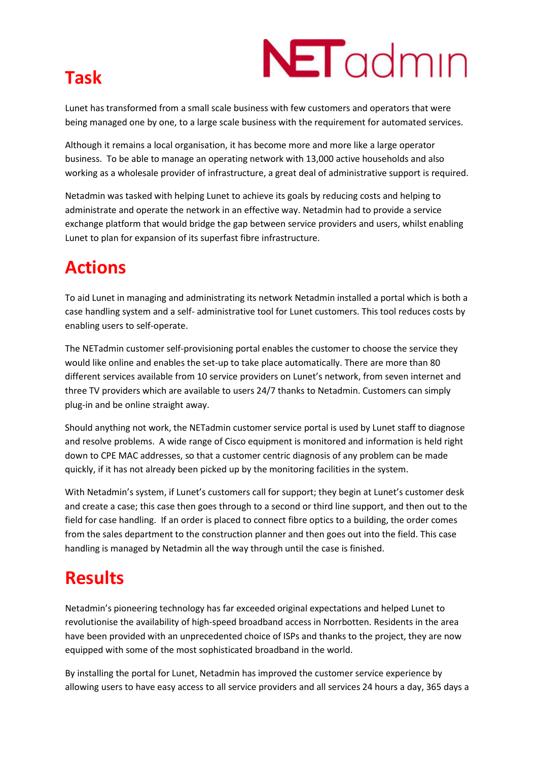## **Task**



Lunet has transformed from a small scale business with few customers and operators that were being managed one by one, to a large scale business with the requirement for automated services.

Although it remains a local organisation, it has become more and more like a large operator business. To be able to manage an operating network with 13,000 active households and also working as a wholesale provider of infrastructure, a great deal of administrative support is required.

Netadmin was tasked with helping Lunet to achieve its goals by reducing costs and helping to administrate and operate the network in an effective way. Netadmin had to provide a service exchange platform that would bridge the gap between service providers and users, whilst enabling Lunet to plan for expansion of its superfast fibre infrastructure.

#### **Actions**

To aid Lunet in managing and administrating its network Netadmin installed a portal which is both a case handling system and a self- administrative tool for Lunet customers. This tool reduces costs by enabling users to self-operate.

The NETadmin customer self-provisioning portal enables the customer to choose the service they would like online and enables the set-up to take place automatically. There are more than 80 different services available from 10 service providers on Lunet's network, from seven internet and three TV providers which are available to users 24/7 thanks to Netadmin. Customers can simply plug-in and be online straight away.

Should anything not work, the NETadmin customer service portal is used by Lunet staff to diagnose and resolve problems. A wide range of Cisco equipment is monitored and information is held right down to CPE MAC addresses, so that a customer centric diagnosis of any problem can be made quickly, if it has not already been picked up by the monitoring facilities in the system.

With Netadmin's system, if Lunet's customers call for support; they begin at Lunet's customer desk and create a case; this case then goes through to a second or third line support, and then out to the field for case handling. If an order is placed to connect fibre optics to a building, the order comes from the sales department to the construction planner and then goes out into the field. This case handling is managed by Netadmin all the way through until the case is finished.

#### **Results**

Netadmin's pioneering technology has far exceeded original expectations and helped Lunet to revolutionise the availability of high-speed broadband access in Norrbotten. Residents in the area have been provided with an unprecedented choice of ISPs and thanks to the project, they are now equipped with some of the most sophisticated broadband in the world.

By installing the portal for Lunet, Netadmin has improved the customer service experience by allowing users to have easy access to all service providers and all services 24 hours a day, 365 days a